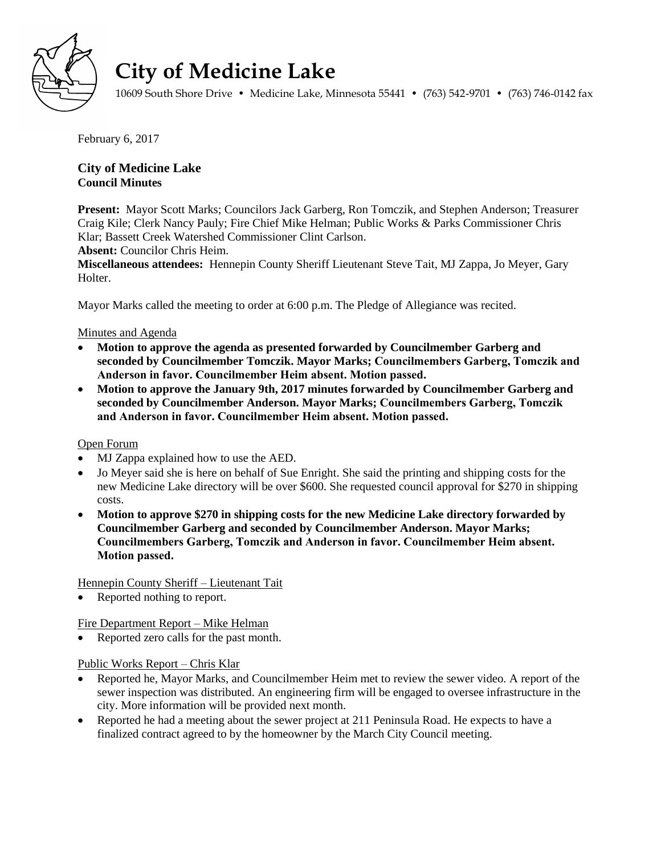

# **City of Medicine Lake**

10609 South Shore Drive • Medicine Lake, Minnesota 55441 • (763) 542-9701 • (763) 746-0142 fax

February 6, 2017

# **City of Medicine Lake Council Minutes**

**Present:** Mayor Scott Marks; Councilors Jack Garberg, Ron Tomczik, and Stephen Anderson; Treasurer Craig Kile; Clerk Nancy Pauly; Fire Chief Mike Helman; Public Works & Parks Commissioner Chris Klar; Bassett Creek Watershed Commissioner Clint Carlson.

**Absent:** Councilor Chris Heim.

**Miscellaneous attendees:** Hennepin County Sheriff Lieutenant Steve Tait, MJ Zappa, Jo Meyer, Gary Holter.

Mayor Marks called the meeting to order at 6:00 p.m. The Pledge of Allegiance was recited.

## Minutes and Agenda

- **Motion to approve the agenda as presented forwarded by Councilmember Garberg and seconded by Councilmember Tomczik. Mayor Marks; Councilmembers Garberg, Tomczik and Anderson in favor. Councilmember Heim absent. Motion passed.**
- **Motion to approve the January 9th, 2017 minutes forwarded by Councilmember Garberg and seconded by Councilmember Anderson. Mayor Marks; Councilmembers Garberg, Tomczik and Anderson in favor. Councilmember Heim absent. Motion passed.**

#### Open Forum

- MJ Zappa explained how to use the AED.
- Jo Meyer said she is here on behalf of Sue Enright. She said the printing and shipping costs for the new Medicine Lake directory will be over \$600. She requested council approval for \$270 in shipping costs.
- **Motion to approve \$270 in shipping costs for the new Medicine Lake directory forwarded by Councilmember Garberg and seconded by Councilmember Anderson. Mayor Marks; Councilmembers Garberg, Tomczik and Anderson in favor. Councilmember Heim absent. Motion passed.**

Hennepin County Sheriff – Lieutenant Tait

Reported nothing to report.

Fire Department Report – Mike Helman

• Reported zero calls for the past month.

#### Public Works Report – Chris Klar

- Reported he, Mayor Marks, and Councilmember Heim met to review the sewer video. A report of the sewer inspection was distributed. An engineering firm will be engaged to oversee infrastructure in the city. More information will be provided next month.
- Reported he had a meeting about the sewer project at 211 Peninsula Road. He expects to have a finalized contract agreed to by the homeowner by the March City Council meeting.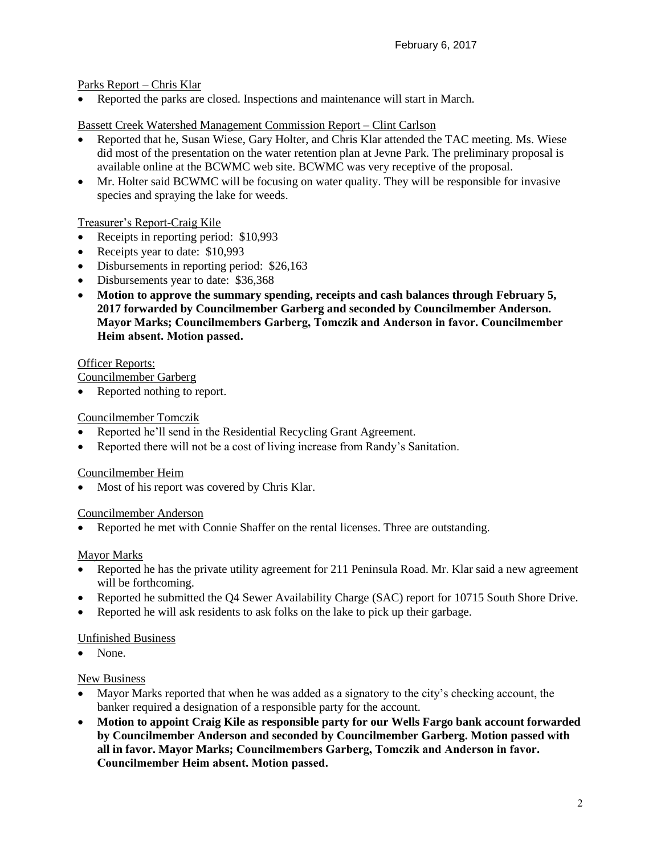Parks Report – Chris Klar

Reported the parks are closed. Inspections and maintenance will start in March.

# Bassett Creek Watershed Management Commission Report – Clint Carlson

- Reported that he, Susan Wiese, Gary Holter, and Chris Klar attended the TAC meeting. Ms. Wiese did most of the presentation on the water retention plan at Jevne Park. The preliminary proposal is available online at the BCWMC web site. BCWMC was very receptive of the proposal.
- Mr. Holter said BCWMC will be focusing on water quality. They will be responsible for invasive species and spraying the lake for weeds.

# Treasurer's Report-Craig Kile

- Receipts in reporting period: \$10,993
- Receipts year to date: \$10,993
- Disbursements in reporting period: \$26,163
- Disbursements year to date: \$36,368
- **Motion to approve the summary spending, receipts and cash balances through February 5, 2017 forwarded by Councilmember Garberg and seconded by Councilmember Anderson. Mayor Marks; Councilmembers Garberg, Tomczik and Anderson in favor. Councilmember Heim absent. Motion passed.**

## Officer Reports:

Councilmember Garberg

Reported nothing to report.

# Councilmember Tomczik

- Reported he'll send in the Residential Recycling Grant Agreement.
- Reported there will not be a cost of living increase from Randy's Sanitation.

# Councilmember Heim

Most of his report was covered by Chris Klar.

# Councilmember Anderson

Reported he met with Connie Shaffer on the rental licenses. Three are outstanding.

# Mayor Marks

- Reported he has the private utility agreement for 211 Peninsula Road. Mr. Klar said a new agreement will be forthcoming.
- Reported he submitted the Q4 Sewer Availability Charge (SAC) report for 10715 South Shore Drive.
- Reported he will ask residents to ask folks on the lake to pick up their garbage.

# Unfinished Business

None.

# New Business

- Mayor Marks reported that when he was added as a signatory to the city's checking account, the banker required a designation of a responsible party for the account.
- **Motion to appoint Craig Kile as responsible party for our Wells Fargo bank account forwarded by Councilmember Anderson and seconded by Councilmember Garberg. Motion passed with all in favor. Mayor Marks; Councilmembers Garberg, Tomczik and Anderson in favor. Councilmember Heim absent. Motion passed.**